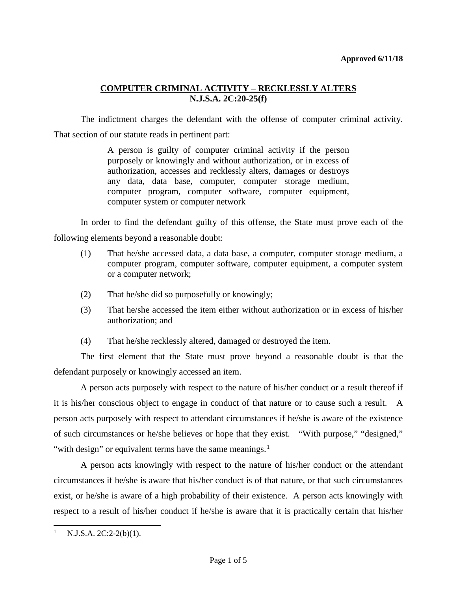The indictment charges the defendant with the offense of computer criminal activity. That section of our statute reads in pertinent part:

> A person is guilty of computer criminal activity if the person purposely or knowingly and without authorization, or in excess of authorization, accesses and recklessly alters, damages or destroys any data, data base, computer, computer storage medium, computer program, computer software, computer equipment, computer system or computer network

In order to find the defendant guilty of this offense, the State must prove each of the following elements beyond a reasonable doubt:

- (1) That he/she accessed data, a data base, a computer, computer storage medium, a computer program, computer software, computer equipment, a computer system or a computer network;
- (2) That he/she did so purposefully or knowingly;
- (3) That he/she accessed the item either without authorization or in excess of his/her authorization; and
- (4) That he/she recklessly altered, damaged or destroyed the item.

The first element that the State must prove beyond a reasonable doubt is that the defendant purposely or knowingly accessed an item.

A person acts purposely with respect to the nature of his/her conduct or a result thereof if it is his/her conscious object to engage in conduct of that nature or to cause such a result. A person acts purposely with respect to attendant circumstances if he/she is aware of the existence of such circumstances or he/she believes or hope that they exist. "With purpose," "designed," "with design" or equivalent terms have the same meanings. $<sup>1</sup>$  $<sup>1</sup>$  $<sup>1</sup>$ </sup>

A person acts knowingly with respect to the nature of his/her conduct or the attendant circumstances if he/she is aware that his/her conduct is of that nature, or that such circumstances exist, or he/she is aware of a high probability of their existence. A person acts knowingly with respect to a result of his/her conduct if he/she is aware that it is practically certain that his/her

<span id="page-0-0"></span> $\mathbf{1}$  $N.J.S.A. 2C:2-2(b)(1).$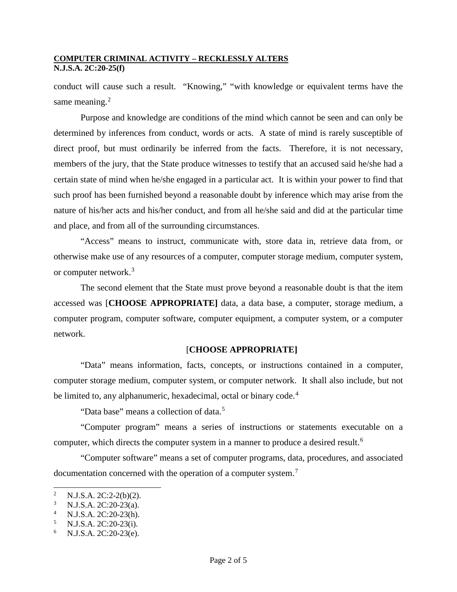conduct will cause such a result. "Knowing," "with knowledge or equivalent terms have the same meaning.<sup>[2](#page-1-0)</sup>

Purpose and knowledge are conditions of the mind which cannot be seen and can only be determined by inferences from conduct, words or acts. A state of mind is rarely susceptible of direct proof, but must ordinarily be inferred from the facts. Therefore, it is not necessary, members of the jury, that the State produce witnesses to testify that an accused said he/she had a certain state of mind when he/she engaged in a particular act. It is within your power to find that such proof has been furnished beyond a reasonable doubt by inference which may arise from the nature of his/her acts and his/her conduct, and from all he/she said and did at the particular time and place, and from all of the surrounding circumstances.

"Access" means to instruct, communicate with, store data in, retrieve data from, or otherwise make use of any resources of a computer, computer storage medium, computer system, or computer network.<sup>[3](#page-1-1)</sup>

The second element that the State must prove beyond a reasonable doubt is that the item accessed was [**CHOOSE APPROPRIATE]** data, a data base, a computer, storage medium, a computer program, computer software, computer equipment, a computer system, or a computer network.

# [**CHOOSE APPROPRIATE]**

"Data" means information, facts, concepts, or instructions contained in a computer, computer storage medium, computer system, or computer network. It shall also include, but not be limited to, any alphanumeric, hexadecimal, octal or binary code.<sup>[4](#page-1-2)</sup>

"Data base" means a collection of data.<sup>[5](#page-1-3)</sup>

"Computer program" means a series of instructions or statements executable on a computer, which directs the computer system in a manner to produce a desired result.<sup>[6](#page-1-4)</sup>

"Computer software" means a set of computer programs, data, procedures, and associated documentation concerned with the operation of a computer system.<sup>[7](#page-1-5)</sup>

l

<span id="page-1-5"></span><span id="page-1-0"></span><sup>&</sup>lt;sup>2</sup> N.J.S.A. 2C:2-2(b)(2).<br><sup>3</sup> N.J.S.A. 2C:20. 23(e)

<span id="page-1-2"></span><span id="page-1-1"></span><sup>&</sup>lt;sup>3</sup> N.J.S.A. 2C:20-23(a).<br><sup>4</sup> N.J.S.A. 2C:20-23(h).<br><sup>5</sup> N.J.S.A. 2C:20-23(i).<br><sup>6</sup> N.J.S.A. 2C:20-23(e).

<span id="page-1-3"></span>

<span id="page-1-4"></span>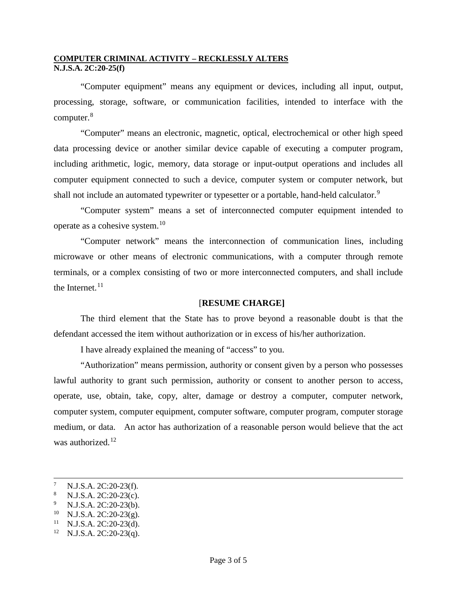"Computer equipment" means any equipment or devices, including all input, output, processing, storage, software, or communication facilities, intended to interface with the computer.[8](#page-2-0)

"Computer" means an electronic, magnetic, optical, electrochemical or other high speed data processing device or another similar device capable of executing a computer program, including arithmetic, logic, memory, data storage or input-output operations and includes all computer equipment connected to such a device, computer system or computer network, but shall not include an automated typewriter or typesetter or a portable, hand-held calculator.<sup>[9](#page-2-1)</sup>

"Computer system" means a set of interconnected computer equipment intended to operate as a cohesive system.<sup>[10](#page-2-2)</sup>

"Computer network" means the interconnection of communication lines, including microwave or other means of electronic communications, with a computer through remote terminals, or a complex consisting of two or more interconnected computers, and shall include the Internet. $^{11}$  $^{11}$  $^{11}$ 

# [**RESUME CHARGE]**

The third element that the State has to prove beyond a reasonable doubt is that the defendant accessed the item without authorization or in excess of his/her authorization.

I have already explained the meaning of "access" to you.

"Authorization" means permission, authority or consent given by a person who possesses lawful authority to grant such permission, authority or consent to another person to access, operate, use, obtain, take, copy, alter, damage or destroy a computer, computer network, computer system, computer equipment, computer software, computer program, computer storage medium, or data. An actor has authorization of a reasonable person would believe that the act was authorized.<sup>[12](#page-2-4)</sup>

-

<span id="page-2-0"></span><sup>7</sup> N.J.S.A. 2C:20-23(f).<br>
<sup>8</sup> N.J.S.A. 2C:20-23(c).<br>
<sup>9</sup> N.J.S.A. 2C:20-23(g).<br>
<sup>10</sup> N.J.S.A. 2C:20-23(d).<br>
<sup>11</sup> N.J.S.A. 2C:20-23(d).<br>
<sup>12</sup> N.J.S.A. 2C:20-23(q).

<span id="page-2-1"></span>

<span id="page-2-2"></span>

<span id="page-2-3"></span>

<span id="page-2-4"></span>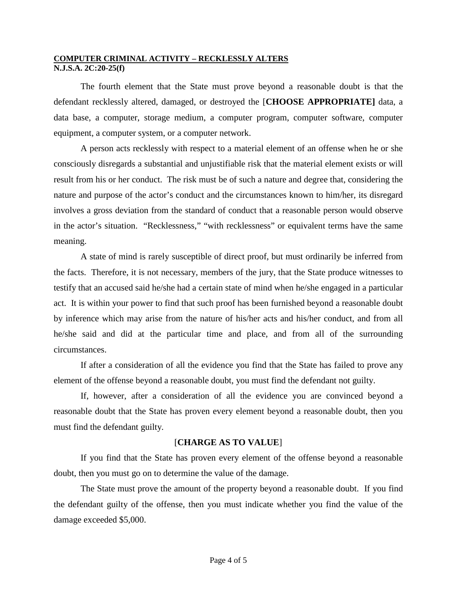The fourth element that the State must prove beyond a reasonable doubt is that the defendant recklessly altered, damaged, or destroyed the [**CHOOSE APPROPRIATE]** data, a data base, a computer, storage medium, a computer program, computer software, computer equipment, a computer system, or a computer network.

A person acts recklessly with respect to a material element of an offense when he or she consciously disregards a substantial and unjustifiable risk that the material element exists or will result from his or her conduct. The risk must be of such a nature and degree that, considering the nature and purpose of the actor's conduct and the circumstances known to him/her, its disregard involves a gross deviation from the standard of conduct that a reasonable person would observe in the actor's situation. "Recklessness," "with recklessness" or equivalent terms have the same meaning.

A state of mind is rarely susceptible of direct proof, but must ordinarily be inferred from the facts. Therefore, it is not necessary, members of the jury, that the State produce witnesses to testify that an accused said he/she had a certain state of mind when he/she engaged in a particular act. It is within your power to find that such proof has been furnished beyond a reasonable doubt by inference which may arise from the nature of his/her acts and his/her conduct, and from all he/she said and did at the particular time and place, and from all of the surrounding circumstances.

If after a consideration of all the evidence you find that the State has failed to prove any element of the offense beyond a reasonable doubt, you must find the defendant not guilty.

If, however, after a consideration of all the evidence you are convinced beyond a reasonable doubt that the State has proven every element beyond a reasonable doubt, then you must find the defendant guilty.

# [**CHARGE AS TO VALUE**]

If you find that the State has proven every element of the offense beyond a reasonable doubt, then you must go on to determine the value of the damage.

The State must prove the amount of the property beyond a reasonable doubt. If you find the defendant guilty of the offense, then you must indicate whether you find the value of the damage exceeded \$5,000.